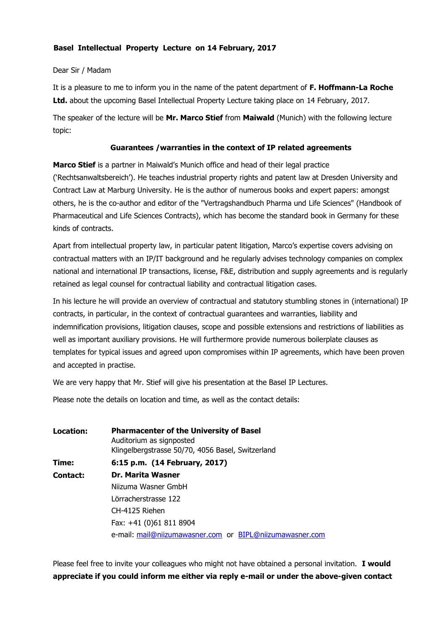## **Basel Intellectual Property Lecture on 14 February, 2017**

## Dear Sir / Madam

It is a pleasure to me to inform you in the name of the patent department of **F. Hoffmann-La Roche Ltd.** about the upcoming Basel Intellectual Property Lecture taking place on 14 February, 2017.

The speaker of the lecture will be **Mr. Marco Stief** from **Maiwald** (Munich) with the following lecture topic:

## **Guarantees /warranties in the context of IP related agreements**

**Marco Stief** is a partner in Maiwald's Munich office and head of their legal practice ('Rechtsanwaltsbereich'). He teaches industrial property rights and patent law at Dresden University and Contract Law at Marburg University. He is the author of numerous books and expert papers: amongst others, he is the co-author and editor of the "Vertragshandbuch Pharma und Life Sciences" (Handbook of Pharmaceutical and Life Sciences Contracts), which has become the standard book in Germany for these kinds of contracts.

Apart from intellectual property law, in particular patent litigation, Marco's expertise covers advising on contractual matters with an IP/IT background and he regularly advises technology companies on complex national and international IP transactions, license, F&E, distribution and supply agreements and is regularly retained as legal counsel for contractual liability and contractual litigation cases.

In his lecture he will provide an overview of contractual and statutory stumbling stones in (international) IP contracts, in particular, in the context of contractual guarantees and warranties, liability and indemnification provisions, litigation clauses, scope and possible extensions and restrictions of liabilities as well as important auxiliary provisions. He will furthermore provide numerous boilerplate clauses as templates for typical issues and agreed upon compromises within IP agreements, which have been proven and accepted in practise.

We are very happy that Mr. Stief will give his presentation at the Basel IP Lectures.

Please note the details on location and time, as well as the contact details:

| Location: | <b>Pharmacenter of the University of Basel</b><br>Auditorium as signposted<br>Klingelbergstrasse 50/70, 4056 Basel, Switzerland |
|-----------|---------------------------------------------------------------------------------------------------------------------------------|
| Time:     | 6:15 p.m. (14 February, 2017)                                                                                                   |
| Contact:  | <b>Dr. Marita Wasner</b>                                                                                                        |
|           | Niizuma Wasner GmbH                                                                                                             |
|           | Lörracherstrasse 122                                                                                                            |
|           | CH-4125 Riehen                                                                                                                  |
|           | Fax: +41 (0)61 811 8904                                                                                                         |
|           | e-mail: mail@niizumawasner.com or BIPL@niizumawasner.com                                                                        |

Please feel free to invite your colleagues who might not have obtained a personal invitation. **I would appreciate if you could inform me either via reply e-mail or under the above-given contact**